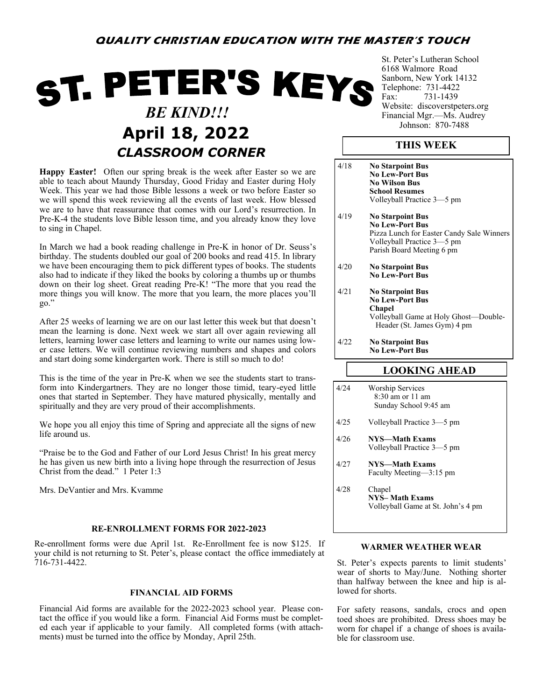# ST. PETER'S KEYS  *BE KIND!!!* April 18, 2022 *CLASSROOM CORNER*

**Happy Easter!** Often our spring break is the week after Easter so we are able to teach about Maundy Thursday, Good Friday and Easter during Holy Week. This year we had those Bible lessons a week or two before Easter so we will spend this week reviewing all the events of last week. How blessed we are to have that reassurance that comes with our Lord's resurrection. In Pre-K-4 the students love Bible lesson time, and you already know they love to sing in Chapel.

In March we had a book reading challenge in Pre-K in honor of Dr. Seuss's birthday. The students doubled our goal of 200 books and read 415. In library we have been encouraging them to pick different types of books. The students also had to indicate if they liked the books by coloring a thumbs up or thumbs down on their log sheet. Great reading Pre-K! "The more that you read the more things you will know. The more that you learn, the more places you'll go."

After 25 weeks of learning we are on our last letter this week but that doesn't mean the learning is done. Next week we start all over again reviewing all letters, learning lower case letters and learning to write our names using lower case letters. We will continue reviewing numbers and shapes and colors and start doing some kindergarten work. There is still so much to do!

This is the time of the year in Pre-K when we see the students start to transform into Kindergartners. They are no longer those timid, teary-eyed little ones that started in September. They have matured physically, mentally and spiritually and they are very proud of their accomplishments.

We hope you all enjoy this time of Spring and appreciate all the signs of new life around us.

"Praise be to the God and Father of our Lord Jesus Christ! In his great mercy he has given us new birth into a living hope through the resurrection of Jesus Christ from the dead." 1 Peter 1:3

Mrs. DeVantier and Mrs. Kvamme

## **RE-ENROLLMENT FORMS FOR 2022-2023**

Re-enrollment forms were due April 1st. Re-Enrollment fee is now \$125. If your child is not returning to St. Peter's, please contact the office immediately at 716-731-4422.

## **FINANCIAL AID FORMS**

Financial Aid forms are available for the 2022-2023 school year. Please contact the office if you would like a form. Financial Aid Forms must be completed each year if applicable to your family. All completed forms (with attachments) must be turned into the office by Monday, April 25th.

St. Peter's Lutheran School 6168 Walmore Road Sanborn, New York 14132 Telephone: 731-4422<br>Fax: 731-1439 731-1439 Website: discoverstpeters.org Financial Mgr.—Ms. Audrey<br>Johnson: 870-7488

## **THIS WEEK**

- 4/18 **No Starpoint Bus No Lew-Port Bus No Wilson Bus School Resumes** Volleyball Practice 3—5 pm 4/19 **No Starpoint Bus No Lew-Port Bus** Pizza Lunch for Easter Candy Sale Winners Volleyball Practice 3—5 pm Parish Board Meeting 6 pm 4/20 **No Starpoint Bus No Lew-Port Bus** 4/21 **No Starpoint Bus No Lew-Port Bus Chapel** Volleyball Game at Holy Ghost—Double- Header (St. James Gym) 4 pm 4/22 **No Starpoint Bus No Lew-Port Bus LOOKING AHEAD**
- 4/24 Worship Services 8:30 am or 11 am Sunday School 9:45 am 4/25 Volleyball Practice 3—5 pm 4/26 **NYS—Math Exams** Volleyball Practice 3—5 pm 4/27 **NYS—Math Exams** Faculty Meeting—3:15 pm 4/28 Chapel **NYS– Math Exams** Volleyball Game at St. John's 4 pm

## **WARMER WEATHER WEAR**

St. Peter's expects parents to limit students' wear of shorts to May/June. Nothing shorter than halfway between the knee and hip is allowed for shorts.

For safety reasons, sandals, crocs and open toed shoes are prohibited. Dress shoes may be worn for chapel if a change of shoes is available for classroom use.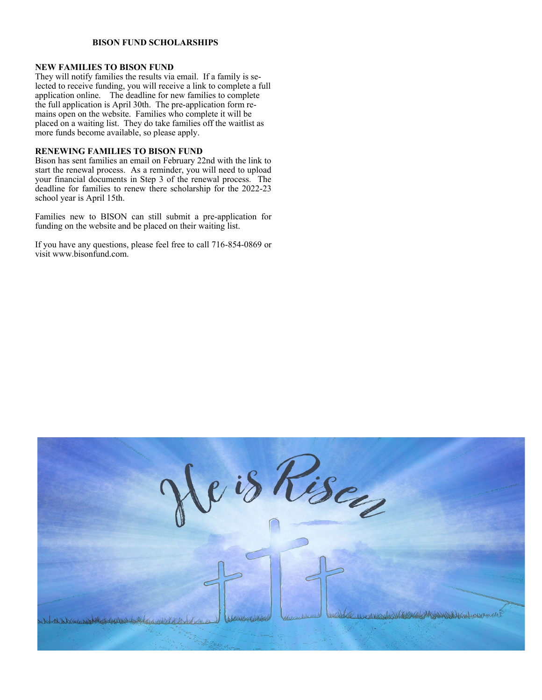## **BISON FUND SCHOLARSHIPS**

## **NEW FAMILIES TO BISON FUND**

They will notify families the results via email. If a family is selected to receive funding, you will receive a link to complete a full application online. The deadline for new families to complete the full application is April 30th. The pre-application form remains open on the website. Families who complete it will be placed on a waiting list. They do take families off the waitlist as more funds become available, so please apply.

#### **RENEWING FAMILIES TO BISON FUND**

Bison has sent families an email on February 22nd with the link to start the renewal process. As a reminder, you will need to upload your financial documents in Step 3 of the renewal process. The deadline for families to renew there scholarship for the 2022-23 school year is April 15th.

Families new to BISON can still submit a pre-application for funding on the website and be placed on their waiting list.

If you have any questions, please feel free to call 716-854-0869 or visit www.bisonfund.com.